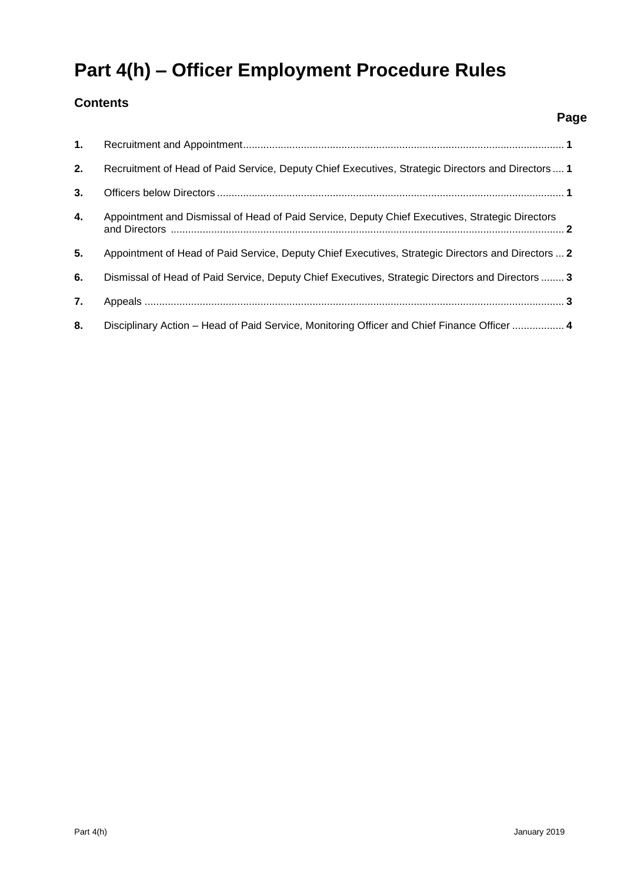# **Part 4(h) – Officer Employment Procedure Rules**

### **Contents**

| 1. |                                                                                                    |
|----|----------------------------------------------------------------------------------------------------|
| 2. | Recruitment of Head of Paid Service, Deputy Chief Executives, Strategic Directors and Directors  1 |
| 3. |                                                                                                    |
| 4. | Appointment and Dismissal of Head of Paid Service, Deputy Chief Executives, Strategic Directors    |
| 5. | Appointment of Head of Paid Service, Deputy Chief Executives, Strategic Directors and Directors  2 |
| 6. | Dismissal of Head of Paid Service, Deputy Chief Executives, Strategic Directors and Directors  3   |
| 7. |                                                                                                    |
| 8. | Disciplinary Action – Head of Paid Service, Monitoring Officer and Chief Finance Officer  4        |

**Page**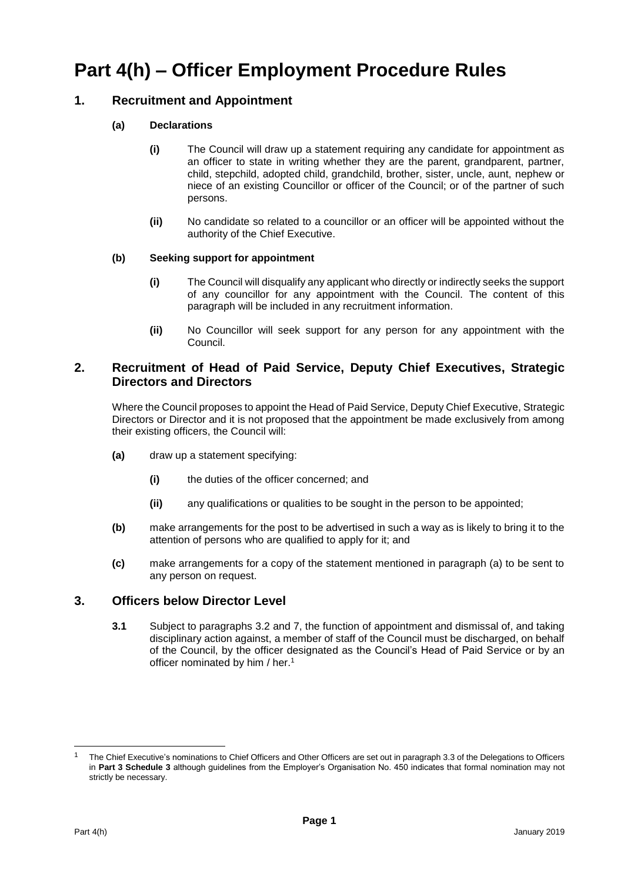## **Part 4(h) – Officer Employment Procedure Rules**

#### **1. Recruitment and Appointment**

#### **(a) Declarations**

- **(i)** The Council will draw up a statement requiring any candidate for appointment as an officer to state in writing whether they are the parent, grandparent, partner, child, stepchild, adopted child, grandchild, brother, sister, uncle, aunt, nephew or niece of an existing Councillor or officer of the Council; or of the partner of such persons.
- **(ii)** No candidate so related to a councillor or an officer will be appointed without the authority of the Chief Executive.

#### **(b) Seeking support for appointment**

- **(i)** The Council will disqualify any applicant who directly or indirectly seeks the support of any councillor for any appointment with the Council. The content of this paragraph will be included in any recruitment information.
- **(ii)** No Councillor will seek support for any person for any appointment with the Council.

#### **2. Recruitment of Head of Paid Service, Deputy Chief Executives, Strategic Directors and Directors <sup>2</sup>**

Where the Council proposes to appoint the Head of Paid Service, Deputy Chief Executive, Strategic Directors or Director and it is not proposed that the appointment be made exclusively from among their existing officers, the Council will:

- **(a)** draw up a statement specifying:
	- **(i)** the duties of the officer concerned; and
	- **(ii)** any qualifications or qualities to be sought in the person to be appointed;
- **(b)** make arrangements for the post to be advertised in such a way as is likely to bring it to the attention of persons who are qualified to apply for it; and
- **(c)** make arrangements for a copy of the statement mentioned in paragraph (a) to be sent to any person on request.

#### **3. Officers below Director Level**

**3.1** Subject to paragraphs 3.2 and 7, the function of appointment and dismissal of, and taking disciplinary action against, a member of staff of the Council must be discharged, on behalf of the Council, by the officer designated as the Council's Head of Paid Service or by an officer nominated by him / her.<sup>1</sup>

l

<sup>1</sup> The Chief Executive's nominations to Chief Officers and Other Officers are set out in paragraph 3.3 of the Delegations to Officers in **Part 3 Schedule 3** although guidelines from the Employer's Organisation No. 450 indicates that formal nomination may not strictly be necessary.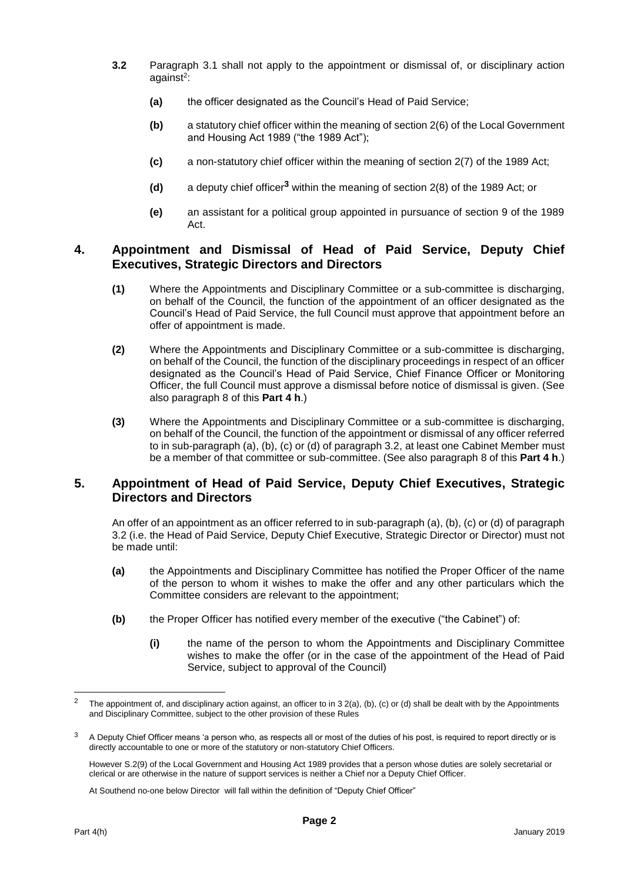- **3.2** Paragraph 3.1 shall not apply to the appointment or dismissal of, or disciplinary action against<sup>2</sup>:
	- **(a)** the officer designated as the Council's Head of Paid Service;
	- **(b)** a statutory chief officer within the meaning of section 2(6) of the Local Government and Housing Act 1989 ("the 1989 Act");
	- **(c)** a non-statutory chief officer within the meaning of section 2(7) of the 1989 Act;
	- **(d)** a deputy chief officer**<sup>3</sup>** within the meaning of section 2(8) of the 1989 Act; or
	- **(e)** an assistant for a political group appointed in pursuance of section 9 of the 1989 Act.

#### **4. Appointment and Dismissal of Head of Paid Service, Deputy Chief Executives, Strategic Directors and Directors**

- **(1)** Where the Appointments and Disciplinary Committee or a sub-committee is discharging, on behalf of the Council, the function of the appointment of an officer designated as the Council's Head of Paid Service, the full Council must approve that appointment before an offer of appointment is made.
- **(2)** Where the Appointments and Disciplinary Committee or a sub-committee is discharging, on behalf of the Council, the function of the disciplinary proceedings in respect of an officer designated as the Council's Head of Paid Service, Chief Finance Officer or Monitoring Officer, the full Council must approve a dismissal before notice of dismissal is given. (See also paragraph 8 of this **Part 4 h**.)
- **(3)** Where the Appointments and Disciplinary Committee or a sub-committee is discharging, on behalf of the Council, the function of the appointment or dismissal of any officer referred to in sub-paragraph (a), (b), (c) or (d) of paragraph 3.2, at least one Cabinet Member must be a member of that committee or sub-committee. (See also paragraph 8 of this **Part 4 h**.)

#### **5. Appointment of Head of Paid Service, Deputy Chief Executives, Strategic Directors and Directors**

An offer of an appointment as an officer referred to in sub-paragraph (a), (b), (c) or (d) of paragraph 3.2 (i.e. the Head of Paid Service, Deputy Chief Executive, Strategic Director or Director) must not be made until:

- **(a)** the Appointments and Disciplinary Committee has notified the Proper Officer of the name of the person to whom it wishes to make the offer and any other particulars which the Committee considers are relevant to the appointment;
- **(b)** the Proper Officer has notified every member of the executive ("the Cabinet") of:
	- **(i)** the name of the person to whom the Appointments and Disciplinary Committee wishes to make the offer (or in the case of the appointment of the Head of Paid Service, subject to approval of the Council)

l

<sup>2</sup> The appointment of, and disciplinary action against, an officer to in 3 2(a), (b), (c) or (d) shall be dealt with by the Appointments and Disciplinary Committee, subject to the other provision of these Rules

 $3$  A Deputy Chief Officer means 'a person who, as respects all or most of the duties of his post, is required to report directly or is directly accountable to one or more of the statutory or non-statutory Chief Officers.

However S.2(9) of the Local Government and Housing Act 1989 provides that a person whose duties are solely secretarial or clerical or are otherwise in the nature of support services is neither a Chief nor a Deputy Chief Officer.

At Southend no-one below Director will fall within the definition of "Deputy Chief Officer"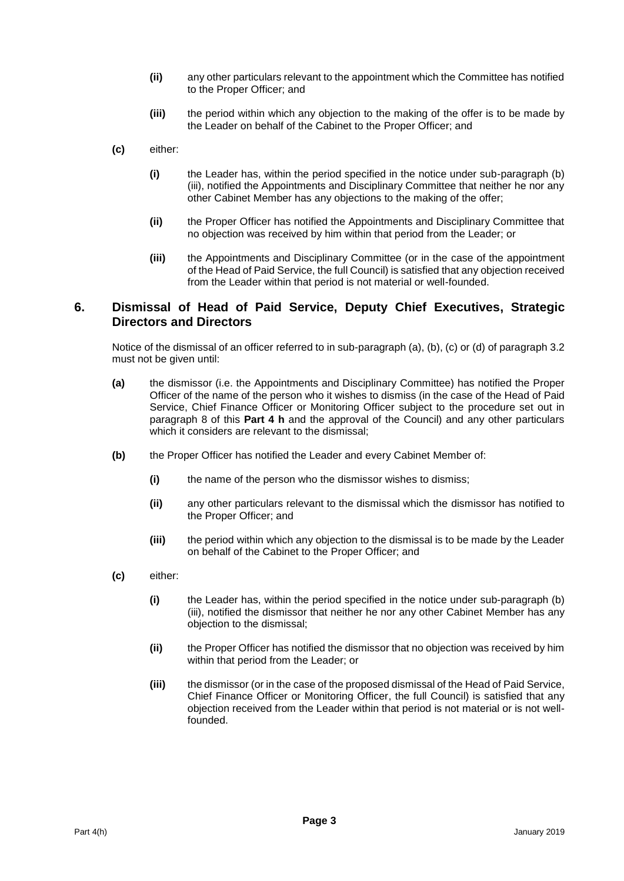- **(ii)** any other particulars relevant to the appointment which the Committee has notified to the Proper Officer; and
- **(iii)** the period within which any objection to the making of the offer is to be made by the Leader on behalf of the Cabinet to the Proper Officer; and
- **(c)** either:
	- **(i)** the Leader has, within the period specified in the notice under sub-paragraph (b) (iii), notified the Appointments and Disciplinary Committee that neither he nor any other Cabinet Member has any objections to the making of the offer;
	- **(ii)** the Proper Officer has notified the Appointments and Disciplinary Committee that no objection was received by him within that period from the Leader; or
	- **(iii)** the Appointments and Disciplinary Committee (or in the case of the appointment of the Head of Paid Service, the full Council) is satisfied that any objection received from the Leader within that period is not material or well-founded.

#### **6. Dismissal of Head of Paid Service, Deputy Chief Executives, Strategic Directors and Directors**

Notice of the dismissal of an officer referred to in sub-paragraph (a), (b), (c) or (d) of paragraph 3.2 must not be given until:

- **(a)** the dismissor (i.e. the Appointments and Disciplinary Committee) has notified the Proper Officer of the name of the person who it wishes to dismiss (in the case of the Head of Paid Service, Chief Finance Officer or Monitoring Officer subject to the procedure set out in paragraph 8 of this **Part 4 h** and the approval of the Council) and any other particulars which it considers are relevant to the dismissal;
- **(b)** the Proper Officer has notified the Leader and every Cabinet Member of:
	- **(i)** the name of the person who the dismissor wishes to dismiss;
	- **(ii)** any other particulars relevant to the dismissal which the dismissor has notified to the Proper Officer; and
	- **(iii)** the period within which any objection to the dismissal is to be made by the Leader on behalf of the Cabinet to the Proper Officer; and
- **(c)** either:
	- **(i)** the Leader has, within the period specified in the notice under sub-paragraph (b) (iii), notified the dismissor that neither he nor any other Cabinet Member has any objection to the dismissal;
	- **(ii)** the Proper Officer has notified the dismissor that no objection was received by him within that period from the Leader; or
	- **(iii)** the dismissor (or in the case of the proposed dismissal of the Head of Paid Service, Chief Finance Officer or Monitoring Officer, the full Council) is satisfied that any objection received from the Leader within that period is not material or is not wellfounded.